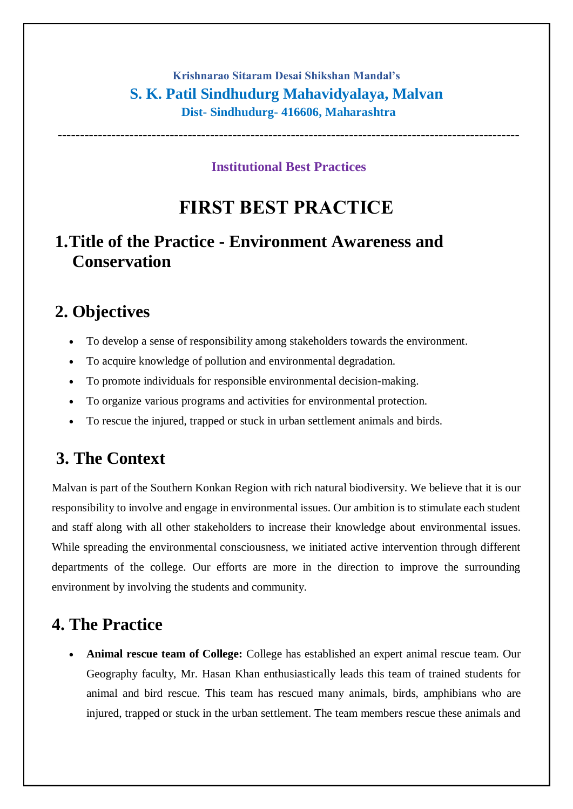#### **Krishnarao Sitaram Desai Shikshan Mandal's S. K. Patil Sindhudurg Mahavidyalaya, Malvan Dist- Sindhudurg- 416606, Maharashtra**

**Institutional Best Practices**

**-------------------------------------------------------------------------------------------------------**

# **FIRST BEST PRACTICE**

### **1.Title of the Practice - Environment Awareness and Conservation**

#### **2. Objectives**

- To develop a sense of responsibility among stakeholders towards the environment.
- To acquire knowledge of pollution and environmental degradation.
- To promote individuals for responsible environmental decision-making.
- To organize various programs and activities for environmental protection.
- To rescue the injured, trapped or stuck in urban settlement animals and birds.

#### **3. The Context**

Malvan is part of the Southern Konkan Region with rich natural biodiversity. We believe that it is our responsibility to involve and engage in environmental issues. Our ambition is to stimulate each student and staff along with all other stakeholders to increase their knowledge about environmental issues. While spreading the environmental consciousness, we initiated active intervention through different departments of the college. Our efforts are more in the direction to improve the surrounding environment by involving the students and community.

#### **4. The Practice**

 **Animal rescue team of College:** College has established an expert animal rescue team. Our Geography faculty, Mr. Hasan Khan enthusiastically leads this team of trained students for animal and bird rescue. This team has rescued many animals, birds, amphibians who are injured, trapped or stuck in the urban settlement. The team members rescue these animals and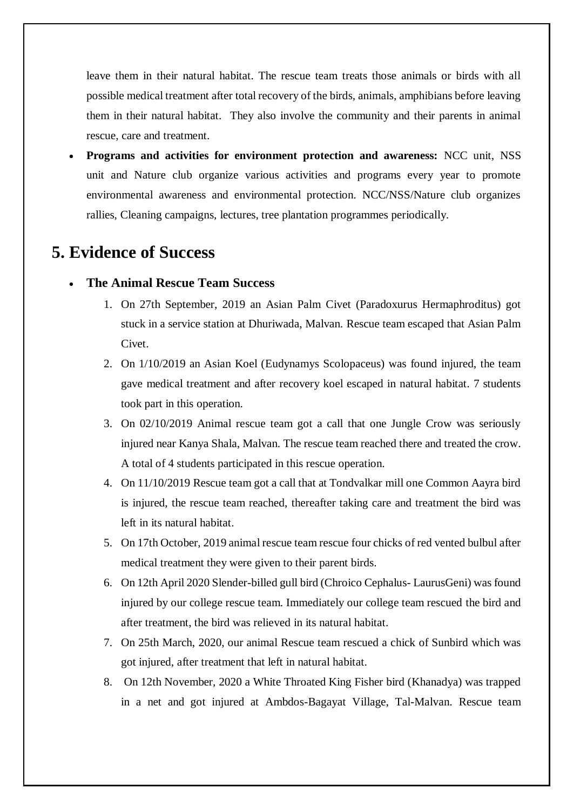leave them in their natural habitat. The rescue team treats those animals or birds with all possible medical treatment after total recovery of the birds, animals, amphibians before leaving them in their natural habitat. They also involve the community and their parents in animal rescue, care and treatment.

 **Programs and activities for environment protection and awareness:** NCC unit, NSS unit and Nature club organize various activities and programs every year to promote environmental awareness and environmental protection. NCC/NSS/Nature club organizes rallies, Cleaning campaigns, lectures, tree plantation programmes periodically.

### **5. Evidence of Success**

- **The Animal Rescue Team Success**
	- 1. On 27th September, 2019 an Asian Palm Civet (Paradoxurus Hermaphroditus) got stuck in a service station at Dhuriwada, Malvan. Rescue team escaped that Asian Palm Civet.
	- 2. On 1/10/2019 an Asian Koel (Eudynamys Scolopaceus) was found injured, the team gave medical treatment and after recovery koel escaped in natural habitat. 7 students took part in this operation.
	- 3. On 02/10/2019 Animal rescue team got a call that one Jungle Crow was seriously injured near Kanya Shala, Malvan. The rescue team reached there and treated the crow. A total of 4 students participated in this rescue operation.
	- 4. On 11/10/2019 Rescue team got a call that at Tondvalkar mill one Common Aayra bird is injured, the rescue team reached, thereafter taking care and treatment the bird was left in its natural habitat.
	- 5. On 17th October, 2019 animal rescue team rescue four chicks of red vented bulbul after medical treatment they were given to their parent birds.
	- 6. On 12th April 2020 Slender-billed gull bird (Chroico Cephalus- LaurusGeni) was found injured by our college rescue team. Immediately our college team rescued the bird and after treatment, the bird was relieved in its natural habitat.
	- 7. On 25th March, 2020, our animal Rescue team rescued a chick of Sunbird which was got injured, after treatment that left in natural habitat.
	- 8. On 12th November, 2020 a White Throated King Fisher bird (Khanadya) was trapped in a net and got injured at Ambdos-Bagayat Village, Tal-Malvan. Rescue team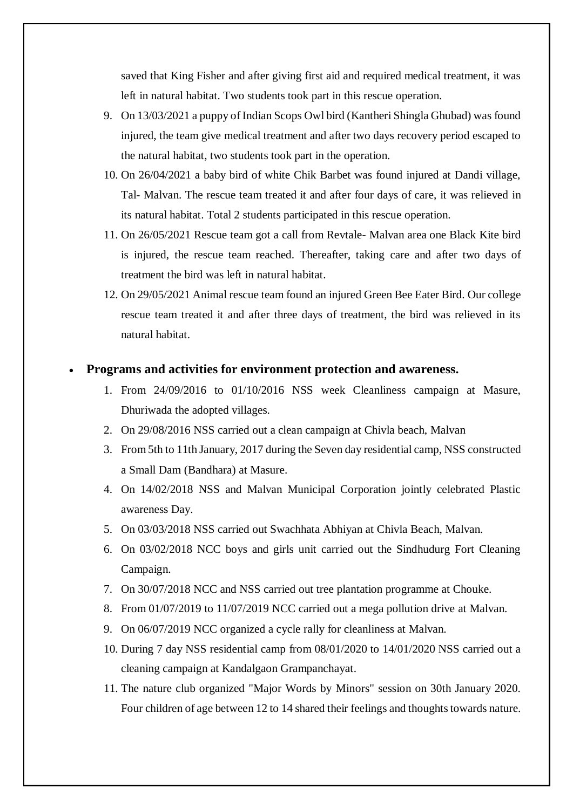saved that King Fisher and after giving first aid and required medical treatment, it was left in natural habitat. Two students took part in this rescue operation.

- 9. On 13/03/2021 a puppy of Indian Scops Owl bird (Kantheri Shingla Ghubad) was found injured, the team give medical treatment and after two days recovery period escaped to the natural habitat, two students took part in the operation.
- 10. On 26/04/2021 a baby bird of white Chik Barbet was found injured at Dandi village, Tal- Malvan. The rescue team treated it and after four days of care, it was relieved in its natural habitat. Total 2 students participated in this rescue operation.
- 11. On 26/05/2021 Rescue team got a call from Revtale- Malvan area one Black Kite bird is injured, the rescue team reached. Thereafter, taking care and after two days of treatment the bird was left in natural habitat.
- 12. On 29/05/2021 Animal rescue team found an injured Green Bee Eater Bird. Our college rescue team treated it and after three days of treatment, the bird was relieved in its natural habitat.

#### **Programs and activities for environment protection and awareness.**

- 1. From 24/09/2016 to 01/10/2016 NSS week Cleanliness campaign at Masure, Dhuriwada the adopted villages.
- 2. On 29/08/2016 NSS carried out a clean campaign at Chivla beach, Malvan
- 3. From 5th to 11th January, 2017 during the Seven day residential camp, NSS constructed a Small Dam (Bandhara) at Masure.
- 4. On 14/02/2018 NSS and Malvan Municipal Corporation jointly celebrated Plastic awareness Day.
- 5. On 03/03/2018 NSS carried out Swachhata Abhiyan at Chivla Beach, Malvan.
- 6. On 03/02/2018 NCC boys and girls unit carried out the Sindhudurg Fort Cleaning Campaign.
- 7. On 30/07/2018 NCC and NSS carried out tree plantation programme at Chouke.
- 8. From 01/07/2019 to 11/07/2019 NCC carried out a mega pollution drive at Malvan.
- 9. On 06/07/2019 NCC organized a cycle rally for cleanliness at Malvan.
- 10. During 7 day NSS residential camp from 08/01/2020 to 14/01/2020 NSS carried out a cleaning campaign at Kandalgaon Grampanchayat.
- 11. The nature club organized "Major Words by Minors" session on 30th January 2020. Four children of age between 12 to 14 shared their feelings and thoughts towards nature.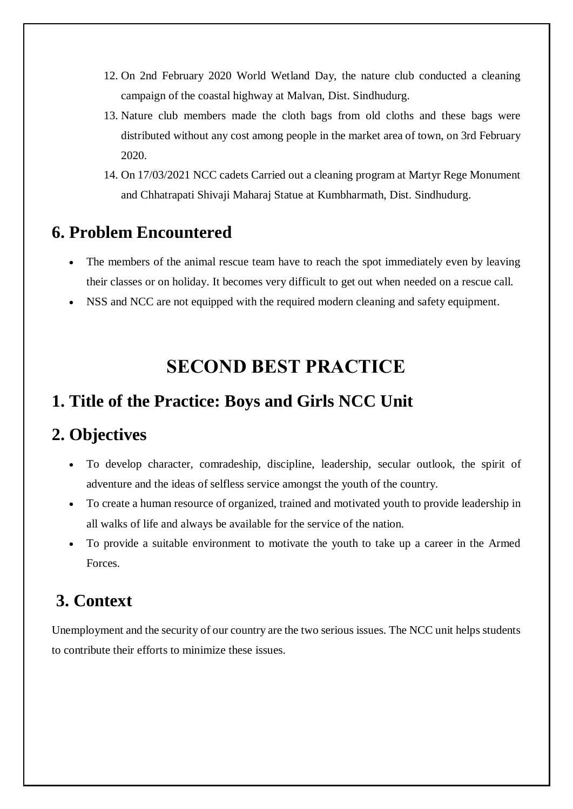- 12. On 2nd February 2020 World Wetland Day, the nature club conducted a cleaning campaign of the coastal highway at Malvan, Dist. Sindhudurg.
- 13. Nature club members made the cloth bags from old cloths and these bags were distributed without any cost among people in the market area of town, on 3rd February 2020.
- 14. On 17/03/2021 NCC cadets Carried out a cleaning program at Martyr Rege Monument and Chhatrapati Shivaji Maharaj Statue at Kumbharmath, Dist. Sindhudurg.

# **6. Problem Encountered**

- The members of the animal rescue team have to reach the spot immediately even by leaving their classes or on holiday. It becomes very difficult to get out when needed on a rescue call.
- NSS and NCC are not equipped with the required modern cleaning and safety equipment.

# **SECOND BEST PRACTICE**

### **1. Title of the Practice: Boys and Girls NCC Unit**

#### **2. Objectives**

- To develop character, comradeship, discipline, leadership, secular outlook, the spirit of adventure and the ideas of selfless service amongst the youth of the country.
- To create a human resource of organized, trained and motivated youth to provide leadership in all walks of life and always be available for the service of the nation.
- To provide a suitable environment to motivate the youth to take up a career in the Armed Forces.

# **3. Context**

Unemployment and the security of our country are the two serious issues. The NCC unit helps students to contribute their efforts to minimize these issues.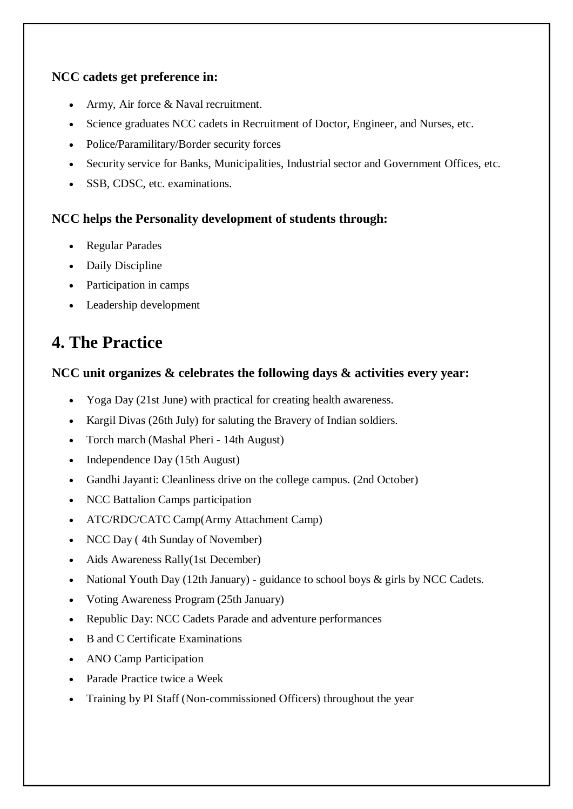#### **NCC cadets get preference in:**

- Army, Air force & Naval recruitment.
- Science graduates NCC cadets in Recruitment of Doctor, Engineer, and Nurses, etc.
- Police/Paramilitary/Border security forces
- Security service for Banks, Municipalities, Industrial sector and Government Offices, etc.
- SSB, CDSC, etc. examinations.

#### **NCC helps the Personality development of students through:**

- Regular Parades
- Daily Discipline
- Participation in camps
- Leadership development

# **4. The Practice**

#### **NCC unit organizes & celebrates the following days & activities every year:**

- Yoga Day (21st June) with practical for creating health awareness.
- Kargil Divas (26th July) for saluting the Bravery of Indian soldiers.
- Torch march (Mashal Pheri 14th August)
- Independence Day (15th August)
- Gandhi Jayanti: Cleanliness drive on the college campus. (2nd October)
- NCC Battalion Camps participation
- ATC/RDC/CATC Camp(Army Attachment Camp)
- NCC Day (4th Sunday of November)
- Aids Awareness Rally(1st December)
- National Youth Day (12th January) guidance to school boys & girls by NCC Cadets.
- Voting Awareness Program (25th January)
- Republic Day: NCC Cadets Parade and adventure performances
- B and C Certificate Examinations
- ANO Camp Participation
- Parade Practice twice a Week
- Training by PI Staff (Non-commissioned Officers) throughout the year